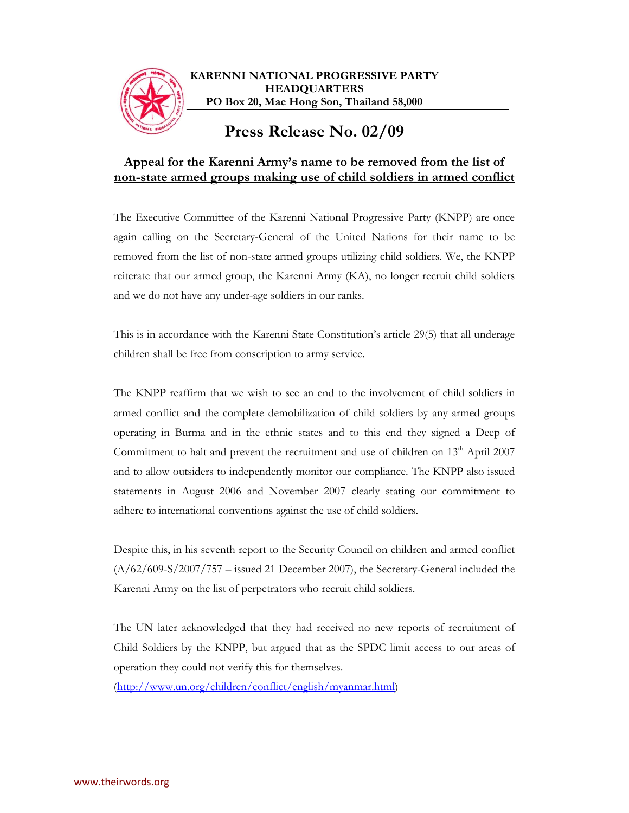

## **Appeal for the Karenni Army's name to be removed from the list of non-state armed groups making use of child soldiers in armed conflict**

The Executive Committee of the Karenni National Progressive Party (KNPP) are once again calling on the Secretary-General of the United Nations for their name to be removed from the list of non-state armed groups utilizing child soldiers. We, the KNPP reiterate that our armed group, the Karenni Army (KA), no longer recruit child soldiers and we do not have any under-age soldiers in our ranks.

This is in accordance with the Karenni State Constitution's article 29(5) that all underage children shall be free from conscription to army service.

The KNPP reaffirm that we wish to see an end to the involvement of child soldiers in armed conflict and the complete demobilization of child soldiers by any armed groups operating in Burma and in the ethnic states and to this end they signed a Deep of Commitment to halt and prevent the recruitment and use of children on 13<sup>th</sup> April 2007 and to allow outsiders to independently monitor our compliance. The KNPP also issued statements in August 2006 and November 2007 clearly stating our commitment to adhere to international conventions against the use of child soldiers.

Despite this, in his seventh report to the Security Council on children and armed conflict (A/62/609-S/2007/757 – issued 21 December 2007), the Secretary-General included the Karenni Army on the list of perpetrators who recruit child soldiers.

The UN later acknowledged that they had received no new reports of recruitment of Child Soldiers by the KNPP, but argued that as the SPDC limit access to our areas of operation they could not verify this for themselves.

(http://www.un.org/children/conflict/english/myanmar.html)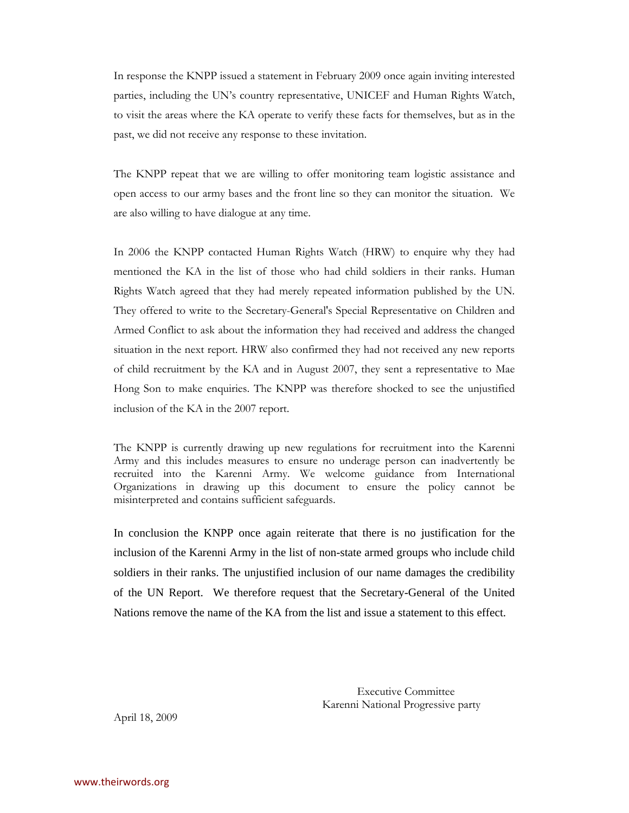In response the KNPP issued a statement in February 2009 once again inviting interested parties, including the UN's country representative, UNICEF and Human Rights Watch, to visit the areas where the KA operate to verify these facts for themselves, but as in the past, we did not receive any response to these invitation.

The KNPP repeat that we are willing to offer monitoring team logistic assistance and open access to our army bases and the front line so they can monitor the situation. We are also willing to have dialogue at any time.

In 2006 the KNPP contacted Human Rights Watch (HRW) to enquire why they had mentioned the KA in the list of those who had child soldiers in their ranks. Human Rights Watch agreed that they had merely repeated information published by the UN. They offered to write to the Secretary-General's Special Representative on Children and Armed Conflict to ask about the information they had received and address the changed situation in the next report. HRW also confirmed they had not received any new reports of child recruitment by the KA and in August 2007, they sent a representative to Mae Hong Son to make enquiries. The KNPP was therefore shocked to see the unjustified inclusion of the KA in the 2007 report.

The KNPP is currently drawing up new regulations for recruitment into the Karenni Army and this includes measures to ensure no underage person can inadvertently be recruited into the Karenni Army. We welcome guidance from International Organizations in drawing up this document to ensure the policy cannot be misinterpreted and contains sufficient safeguards.

In conclusion the KNPP once again reiterate that there is no justification for the inclusion of the Karenni Army in the list of non-state armed groups who include child soldiers in their ranks. The unjustified inclusion of our name damages the credibility of the UN Report. We therefore request that the Secretary-General of the United Nations remove the name of the KA from the list and issue a statement to this effect.

> Executive Committee Karenni National Progressive party

April 18, 2009